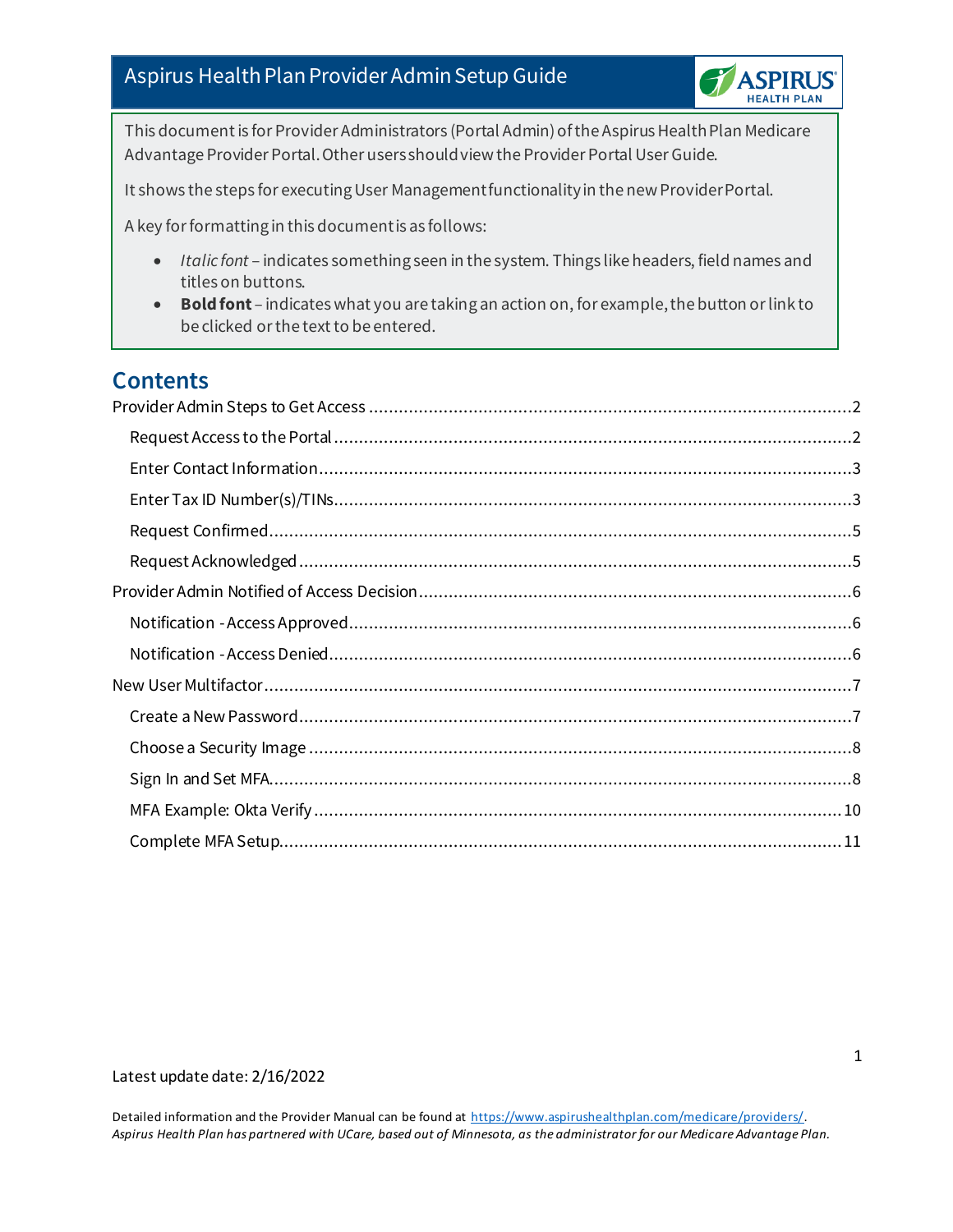

This document is for Provider Administrators (Portal Admin) of the Aspirus Health Plan Medicare Advantage Provider Portal. Other users should view the Provider Portal User Guide.

It shows the steps for executing User Management functionality in the new Provider Portal.

A key for formatting in this document is as follows:

- *Italic font* indicates something seen in the system. Things like headers, field names and titles on buttons.
- **Bold font** indicates what you are taking an action on, for example, the button or link to be clicked or the text to be entered.

### **Contents**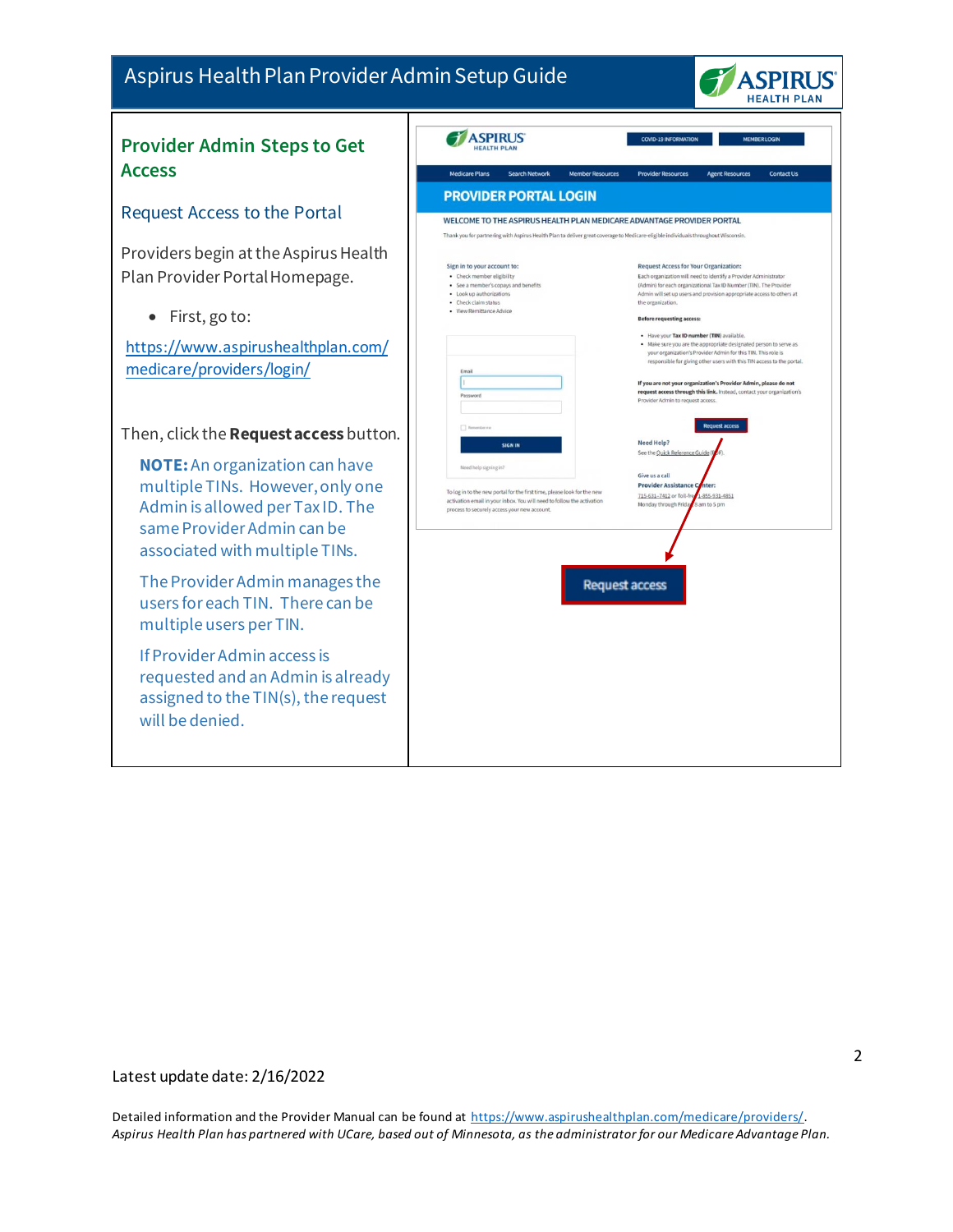

#### <span id="page-1-1"></span><span id="page-1-0"></span>ASPIRUS **COVID-19 INFORMATION** MEMBER LOGIN **Provider Admin Steps to Get Access** Medicare Plans Search Network Member Resources Provider Resources Agent Resources Contact Us **PROVIDER PORTAL LOGIN** Request Access to the Portal WELCOME TO THE ASPIRUS HEALTH PLAN MEDICARE ADVANTAGE PROVIDER PORTAL Providers begin at the Aspirus Health Sign in to your account to: Request Access for Your Organization: Plan Provider Portal Homepage. - Check member eligibility<br>- See a member's copays and benefits Each organization will need to identify a Provider Administrator<br>(Admin) for each organizational Tax ID Number (TIN). The Provide · Look up authorizations Admin will set up users and provision appropriate access to others at - Check claim status the organization. · View Remittance Advice • First, go to: **Before requesting access:** . Have your Tax ID number (TIN) available • Make sure you are the appropriate designated person to serve as<br>your organization's Provider Admin for this TIN. This role is<br>responsible for giving other users with this TIN. This role is<br>responsible for giving other us [https://www.aspirushealthplan.com/](https://www.aspirushealthplan.com/medicare/providers/login/) [medicare/providers/login/](https://www.aspirushealthplan.com/medicare/providers/login/)If you are not your organization's Provider Admin, please do not<br>request access through this link. Instead, contact your organization's Provider Admin to regu Request access Then, click the**Request access** button. Need Help? See the Quick Reference Guide **NOTE:**An organization can have Give us a call multiple TINs. However, only one **Provider Assi** To log in to the new portal for the first time, please look for the new T15-631-7412 or Toll-f -855-931-4851 activation email in your inbox. You will need to follow the activation email in your inbox. You will need to follow the activative process to securely access your new account. Admin is allowed per Tax ID. The same Provider Admin can be associated with multiple TINs. The Provider Admin manages the **Request access** users for each TIN. There can be multiple users per TIN. If Provider Admin access is requested and an Admin is already assigned to the TIN(s), the request will be denied.

#### Latest update date: 2/16/2022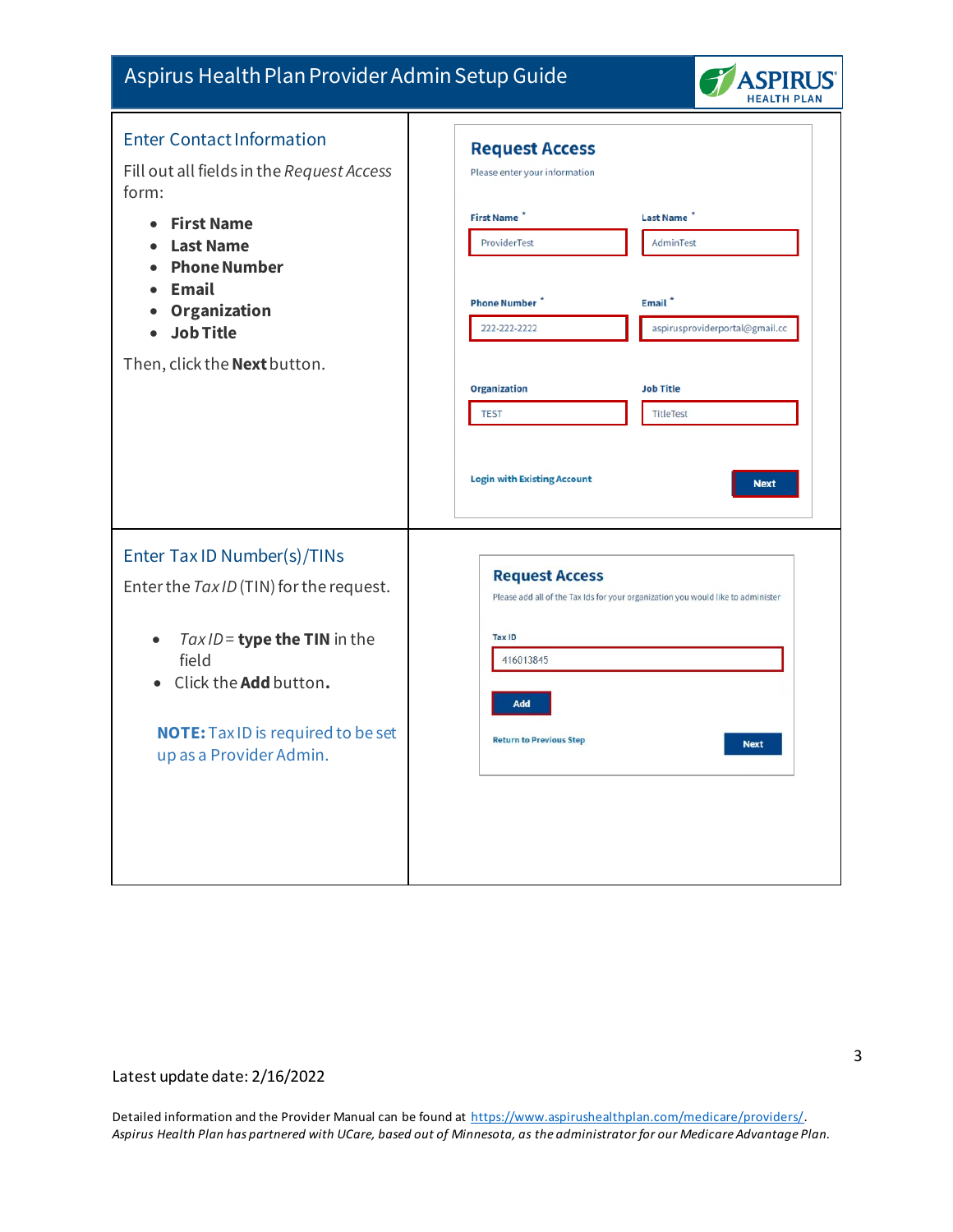

<span id="page-2-1"></span><span id="page-2-0"></span>

| <b>Enter Contact Information</b><br>Fill out all fields in the Request Access<br>form:                                                                                  | <b>Request Access</b><br>Please enter your information              |                       |                                                                                  |
|-------------------------------------------------------------------------------------------------------------------------------------------------------------------------|---------------------------------------------------------------------|-----------------------|----------------------------------------------------------------------------------|
| <b>First Name</b><br>$\bullet$<br><b>Last Name</b><br>$\bullet$<br><b>Phone Number</b><br>$\bullet$                                                                     | First Name <sup>*</sup><br>ProviderTest                             |                       | Last Name <sup>*</sup><br>AdminTest                                              |
| <b>Email</b><br>Organization<br>$\bullet$<br><b>Job Title</b>                                                                                                           | <b>Phone Number</b><br>222-222-2222                                 |                       | Email <sup>*</sup><br>aspirusproviderportal@gmail.cc                             |
| Then, click the <b>Next</b> button.                                                                                                                                     | <b>Organization</b>                                                 |                       | <b>Job Title</b>                                                                 |
|                                                                                                                                                                         | <b>TEST</b>                                                         |                       | <b>TitleTest</b>                                                                 |
|                                                                                                                                                                         | <b>Login with Existing Account</b>                                  |                       | <b>Next</b>                                                                      |
| Enter Tax ID Number(s)/TINs<br>Enter the Tax ID (TIN) for the request.                                                                                                  |                                                                     | <b>Request Access</b> | Please add all of the Tax Ids for your organization you would like to administer |
| Tax ID = type the TIN in the<br>$\bullet$<br>field<br>Click the <b>Add</b> button.<br>$\bullet$<br><b>NOTE:</b> Tax ID is required to be set<br>up as a Provider Admin. | <b>Tax ID</b><br>416013845<br>Add<br><b>Return to Previous Step</b> |                       | <b>Next</b>                                                                      |
|                                                                                                                                                                         |                                                                     |                       |                                                                                  |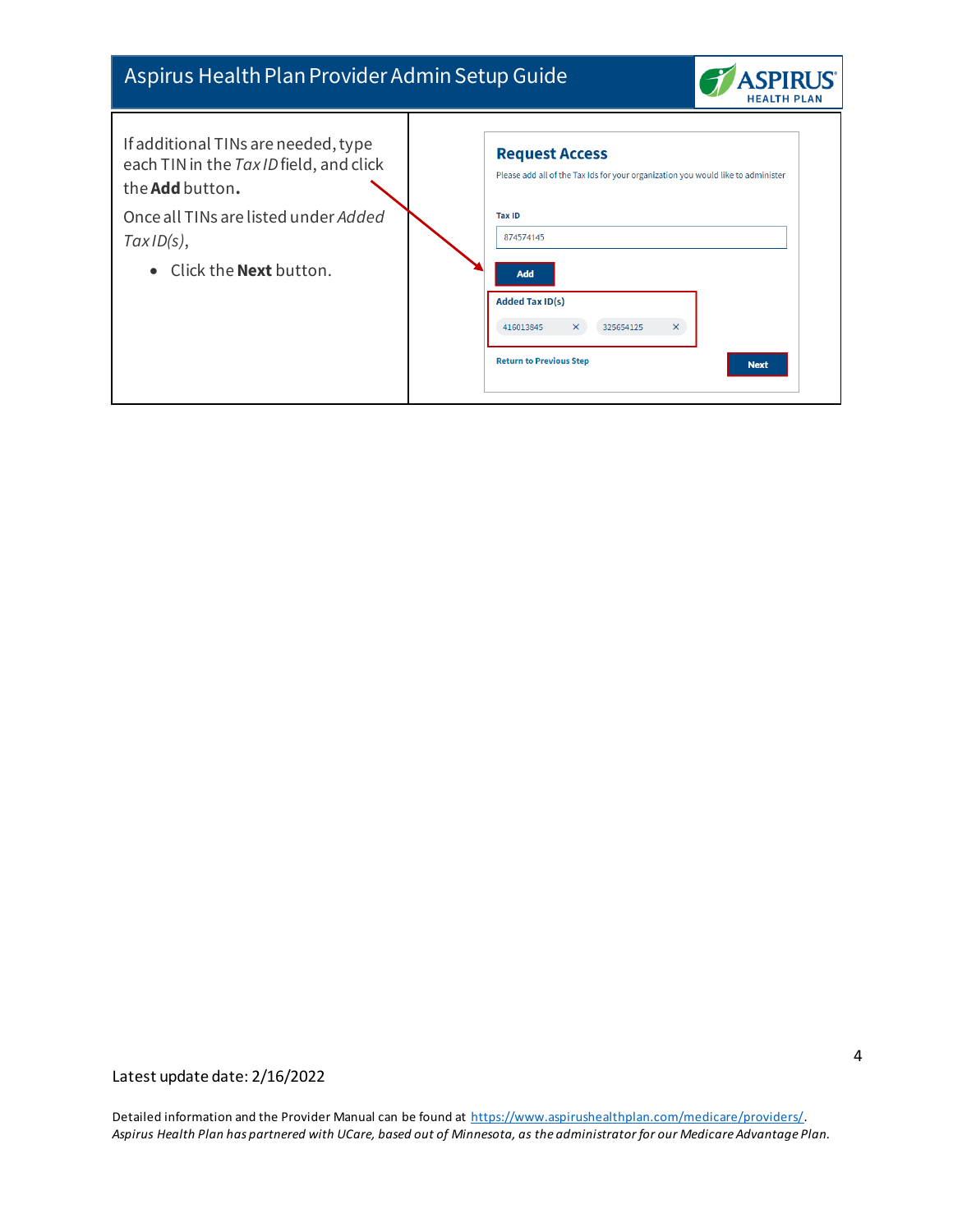

| If additional TINs are needed, type<br>each TIN in the Tax ID field, and click<br>the <b>Add</b> button. | <b>Request Access</b><br>Please add all of the Tax Ids for your organization you would like to administer                                                             |
|----------------------------------------------------------------------------------------------------------|-----------------------------------------------------------------------------------------------------------------------------------------------------------------------|
| Once all TINs are listed under Added<br>TaxID(s),<br>• Click the <b>Next</b> button.                     | <b>Tax ID</b><br>874574145<br><b>Add</b><br><b>Added Tax ID(s)</b><br>$\times$<br>$\times$<br>416013845<br>325654125<br><b>Return to Previous Step</b><br><b>Next</b> |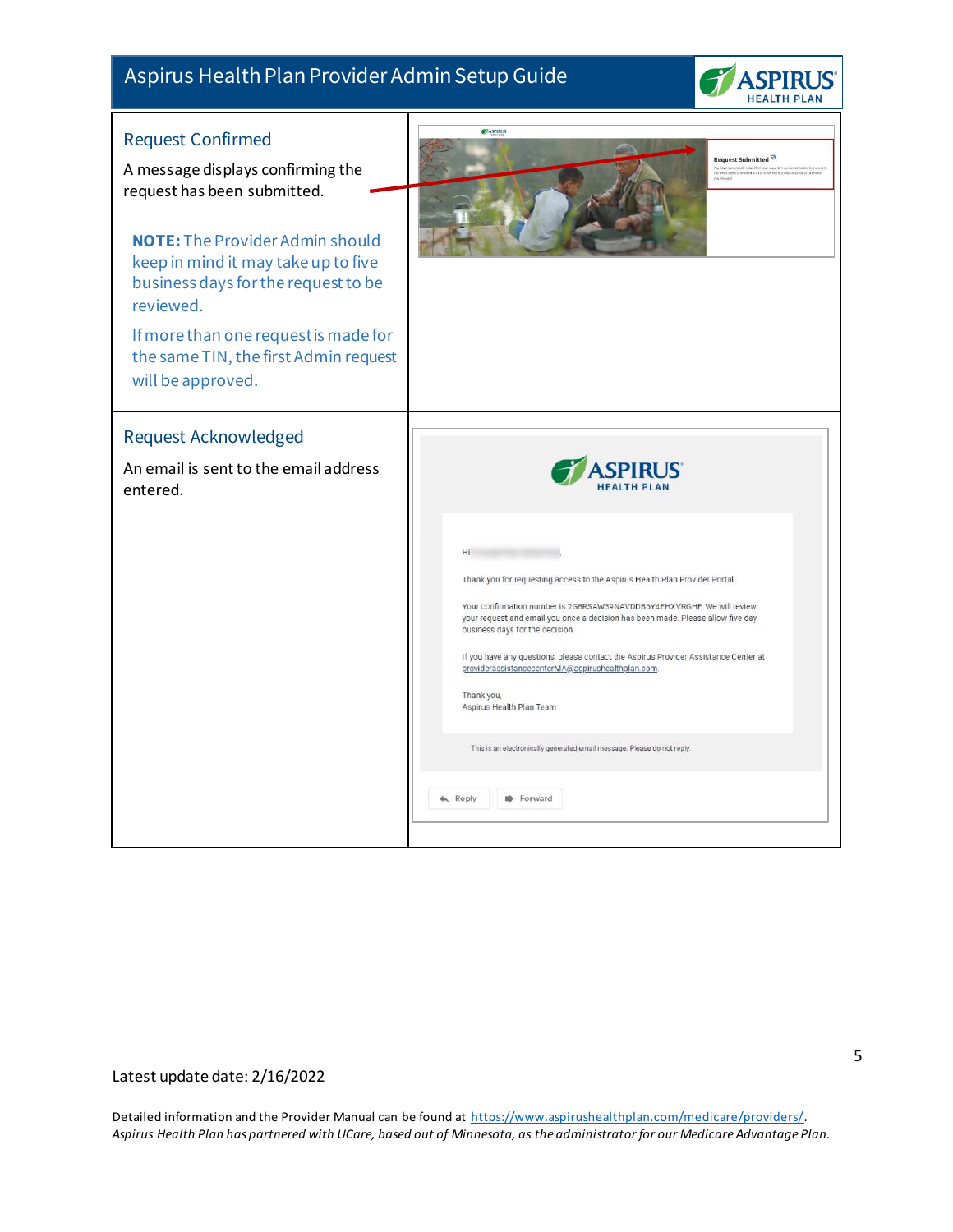

<span id="page-4-1"></span><span id="page-4-0"></span>

| <b>Request Confirmed</b><br>A message displays confirming the<br>request has been submitted.<br><b>NOTE:</b> The Provider Admin should<br>keep in mind it may take up to five<br>business days for the request to be<br>reviewed.<br>If more than one request is made for<br>the same TIN, the first Admin request<br>will be approved. | ASPIRUS<br>Request Submitted $\odot$<br>which submitted your resource A confirmation has be-<br>You have succes<br>the emoil addre<br>your request                                                                                                                                                                                                                                                                                                                                                                                                                                   |
|-----------------------------------------------------------------------------------------------------------------------------------------------------------------------------------------------------------------------------------------------------------------------------------------------------------------------------------------|--------------------------------------------------------------------------------------------------------------------------------------------------------------------------------------------------------------------------------------------------------------------------------------------------------------------------------------------------------------------------------------------------------------------------------------------------------------------------------------------------------------------------------------------------------------------------------------|
| <b>Request Acknowledged</b><br>An email is sent to the email address<br>entered.                                                                                                                                                                                                                                                        | Hi.<br>Thank you for requesting access to the Aspirus Health Plan Provider Portal.<br>Your confirmation number is 2G8RSAW39NAVDDB6Y4EHXVRGHF. We will review<br>your request and email you once a decision has been made. Please allow five day<br>business days for the decision.<br>If you have any questions, please contact the Aspirus Provider Assistance Center at<br>providerassistancecenterMA@aspirushealthplan.com.<br>Thank you,<br>Aspirus Health Plan Team<br>This is an electronically generated email message. Please do not reply.<br>$\leftarrow$ Reply<br>Forward |

### Latest update date: 2/16/2022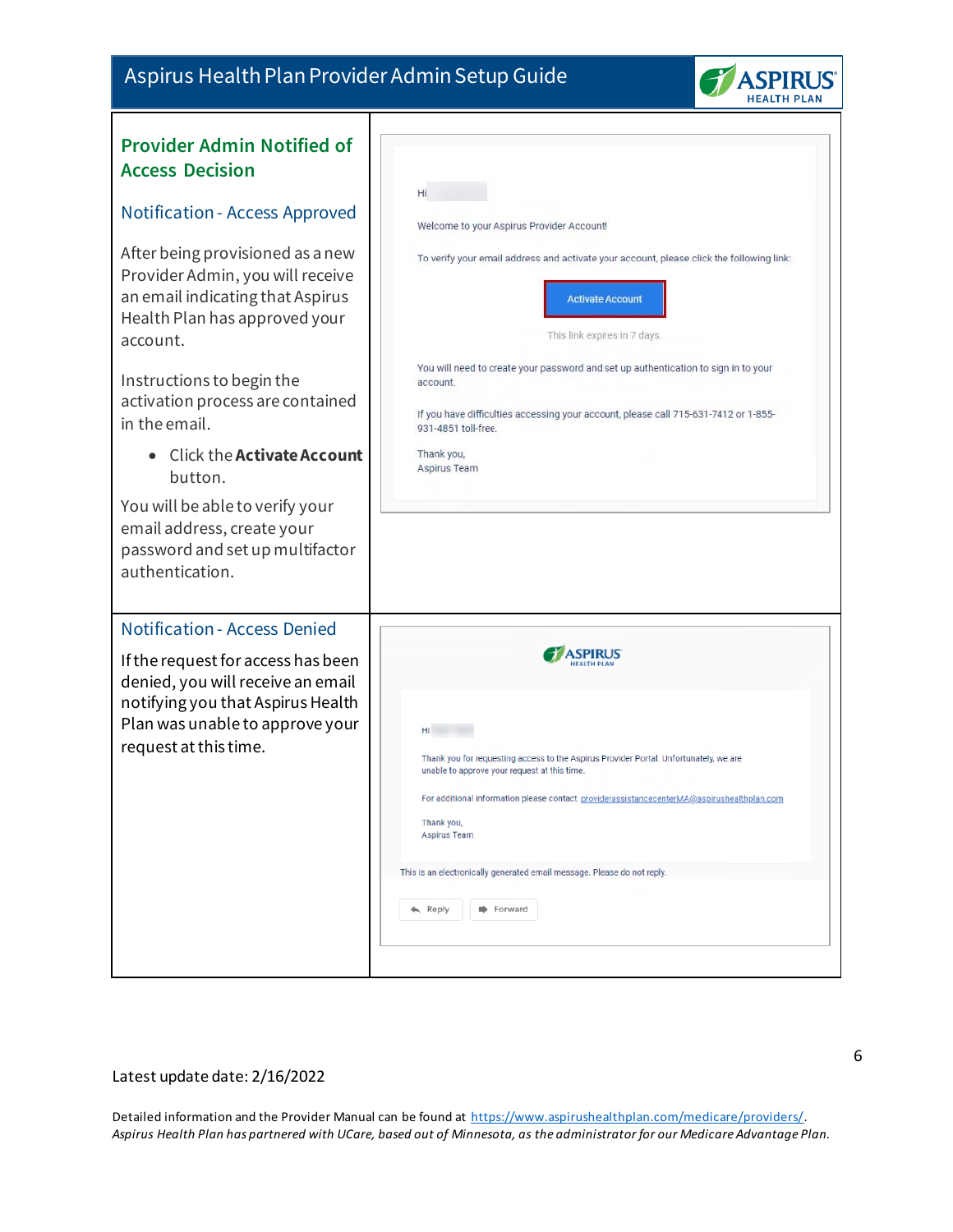

<span id="page-5-1"></span><span id="page-5-0"></span>

| <b>Provider Admin Notified of</b><br><b>Access Decision</b><br>Notification - Access Approved<br>After being provisioned as a new<br>Provider Admin, you will receive<br>an email indicating that Aspirus<br>Health Plan has approved your<br>account.<br>Instructions to begin the<br>activation process are contained<br>in the email.<br>• Click the <b>Activate Account</b> | Ηí<br>Welcome to your Aspirus Provider Account!<br>To verify your email address and activate your account, please click the following link:<br><b>Activate Account</b><br>This link expires in 7 days.<br>You will need to create your password and set up authentication to sign in to your<br>account.<br>If you have difficulties accessing your account, please call 715-631-7412 or 1-855-<br>931-4851 toll-free.<br>Thank you, |
|---------------------------------------------------------------------------------------------------------------------------------------------------------------------------------------------------------------------------------------------------------------------------------------------------------------------------------------------------------------------------------|--------------------------------------------------------------------------------------------------------------------------------------------------------------------------------------------------------------------------------------------------------------------------------------------------------------------------------------------------------------------------------------------------------------------------------------|
| button.<br>You will be able to verify your<br>email address, create your<br>password and set up multifactor<br>authentication.                                                                                                                                                                                                                                                  | Aspirus Team                                                                                                                                                                                                                                                                                                                                                                                                                         |
| <b>Notification - Access Denied</b><br>If the request for access has been<br>denied, you will receive an email<br>notifying you that Aspirus Health<br>Plan was unable to approve your<br>request at this time.                                                                                                                                                                 | Hi<br>Thank you for requesting access to the Aspirus Provider Portal. Unfortunately, we are<br>unable to approve your request at this time.<br>For additional information please contact providerassistancecenterMA@aspirushealthplan.com<br>Thank you,<br>Aspirus Team<br>This is an electronically generated email message. Please do not reply.<br>Forward<br>$\leftarrow$ Reply                                                  |

#### <span id="page-5-2"></span>Latest update date: 2/16/2022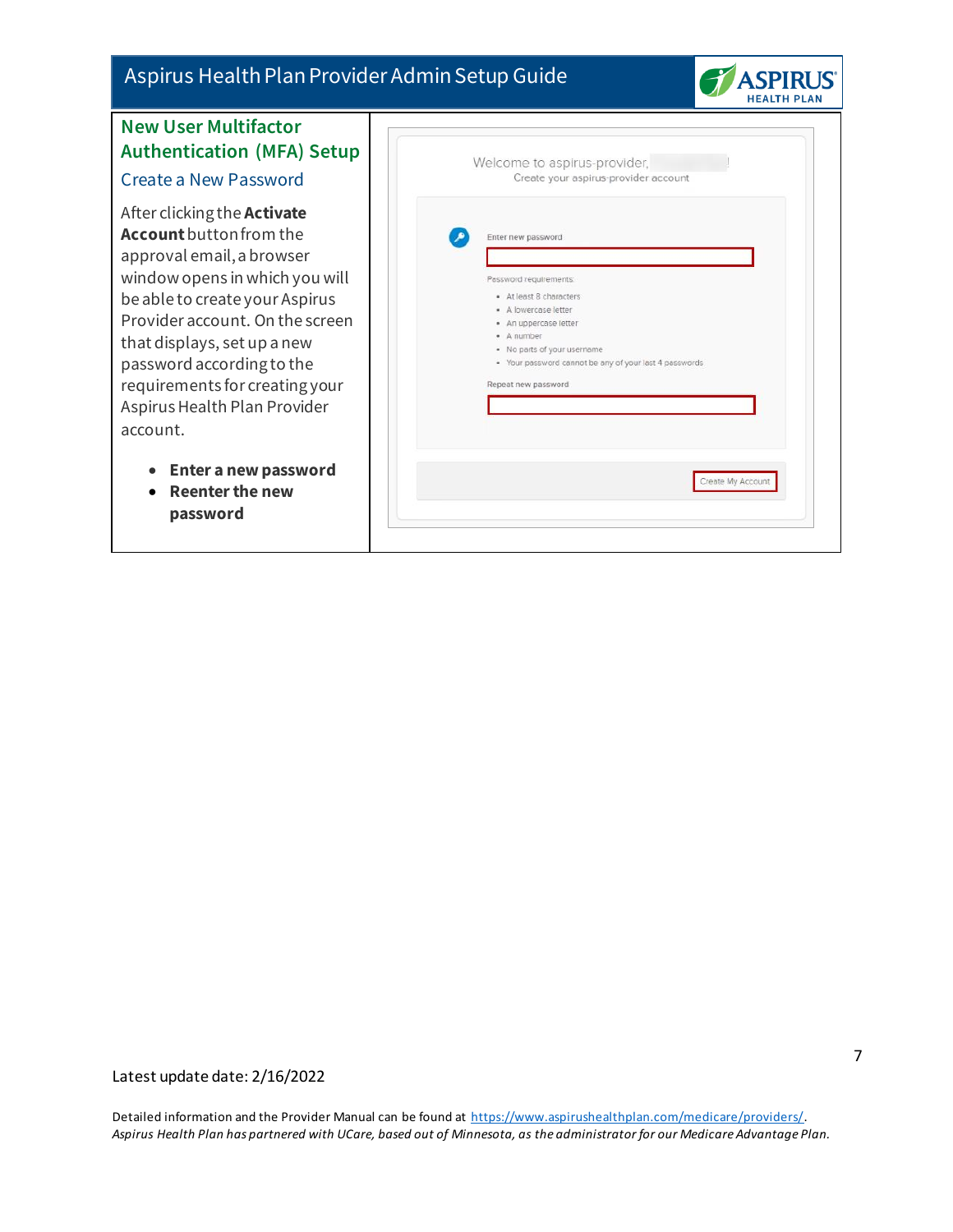

### <span id="page-6-0"></span>**New User Multifactor Authentication (MFA) Set** Create a New Password

<span id="page-6-1"></span>After clicking the **Activate Account**button from the approval email, a browser window opens in which you wi be able to create your Aspirus Provider account. On the scree that displays, set up a new password according to the requirements for creating you Aspirus Health Plan Provider account.

- **Enter a new password**
- **Reenter the new password**

| Welcome to aspirus-provider,<br>Create your aspirus-provider account |
|----------------------------------------------------------------------|
| Enter new password                                                   |
| Password requirements:                                               |
| · At least 8 characters                                              |
| · A lowercase letter                                                 |
| · An uppercase letter                                                |
| · A number                                                           |
| · No parts of your username                                          |
| · Your password cannot be any of your last 4 passwords               |
| Repeat new password                                                  |
|                                                                      |
|                                                                      |
|                                                                      |
|                                                                      |
|                                                                      |
| Create My Account                                                    |
|                                                                      |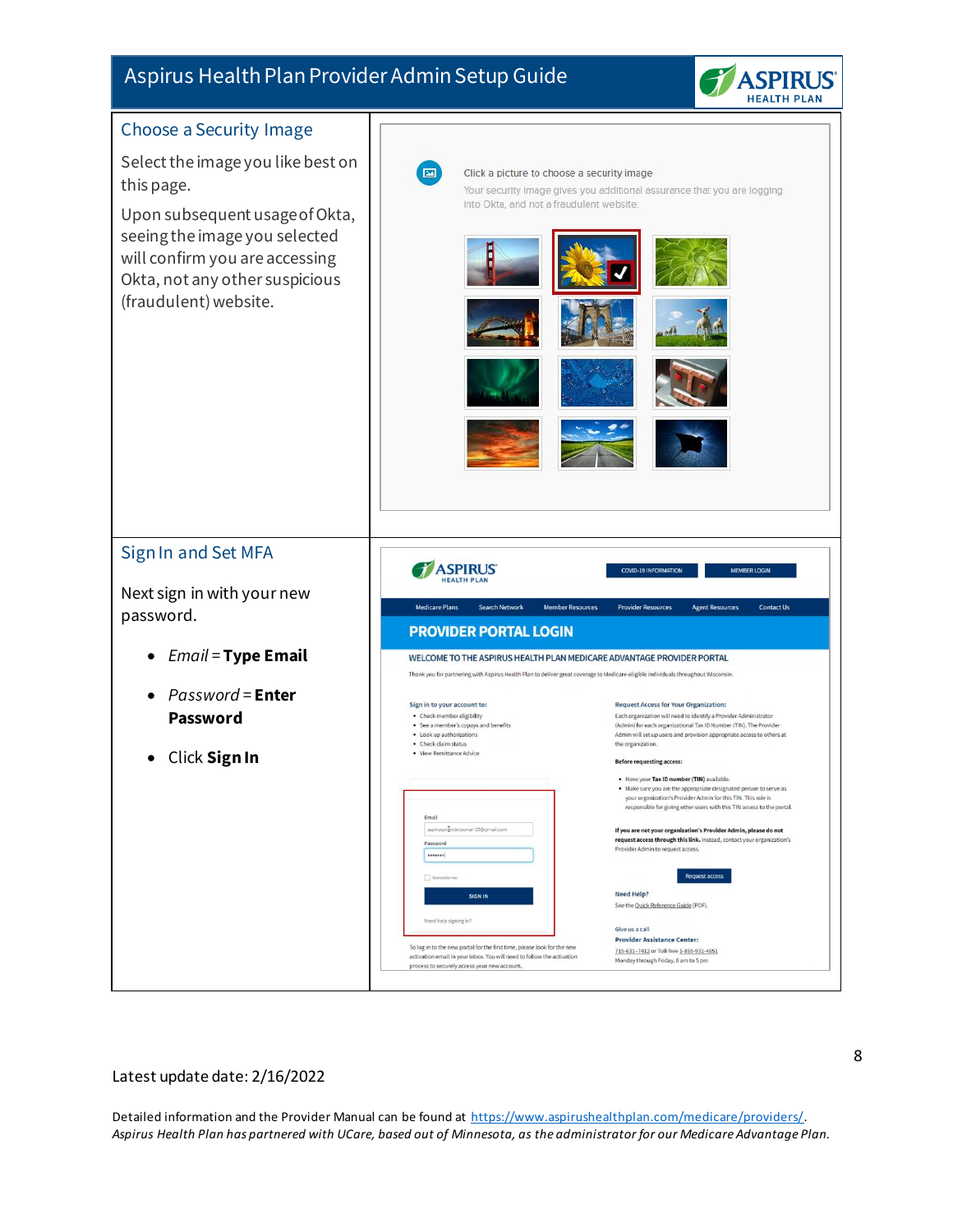

<span id="page-7-1"></span><span id="page-7-0"></span>

Latest update date: 2/16/2022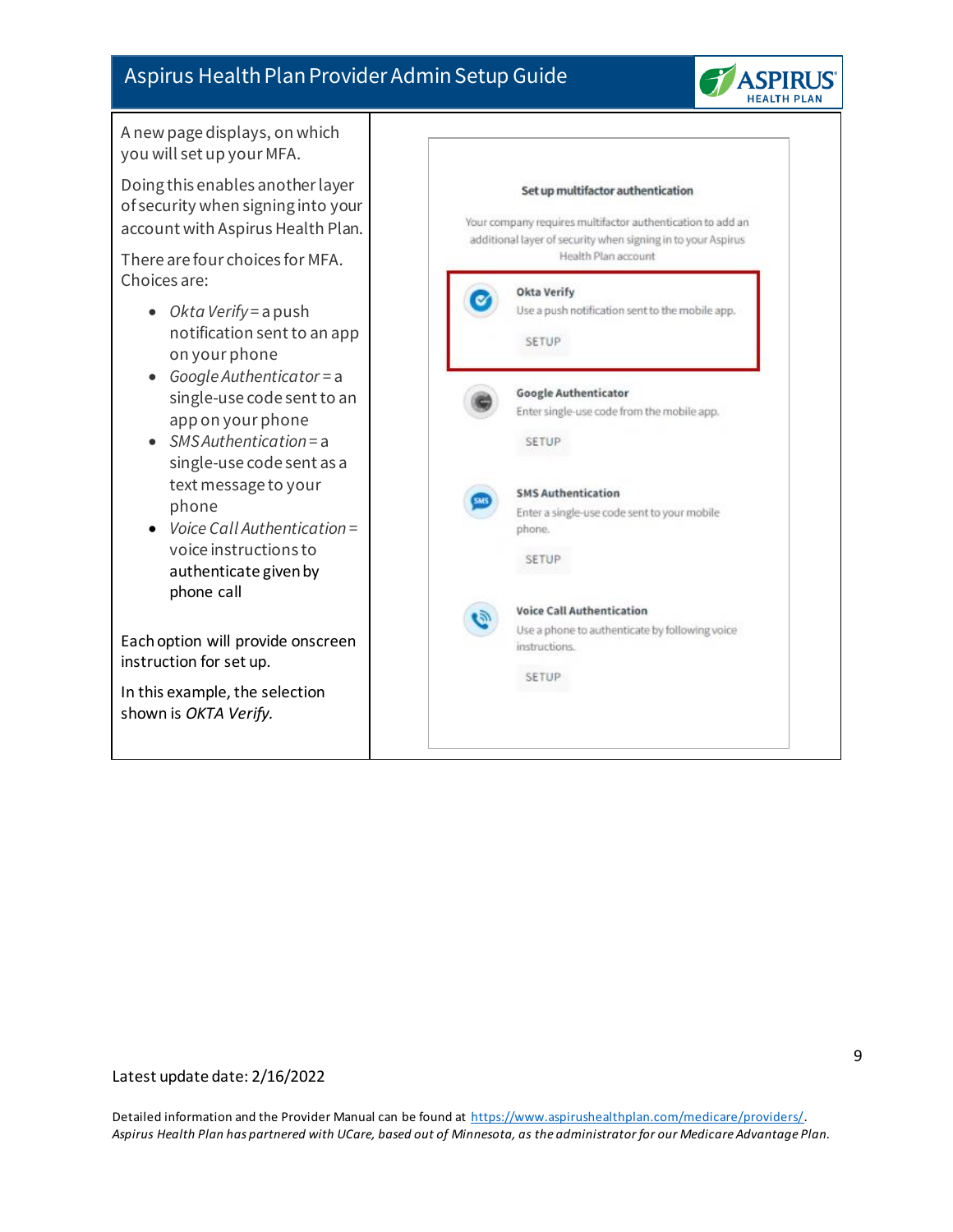

A new page displays, on which you will set up your MFA.

Doing this enables another layer of security when signing into your account with Aspirus Health Plan.

There are four choices for MFA. Choices are:

- *Okta Verify* = a push notification sent to an app on your phone
- *Google Authenticator* = a single-use code sent to an app on your phone
- *SMS Authentication* = a single-use code sent as a text message to your phone
- *Voice Call Authentication* = voice instructions to authenticate given by phone call

Each option will provide onscreen instruction for set up.

In this example, the selection shown is *OKTA Verify.*

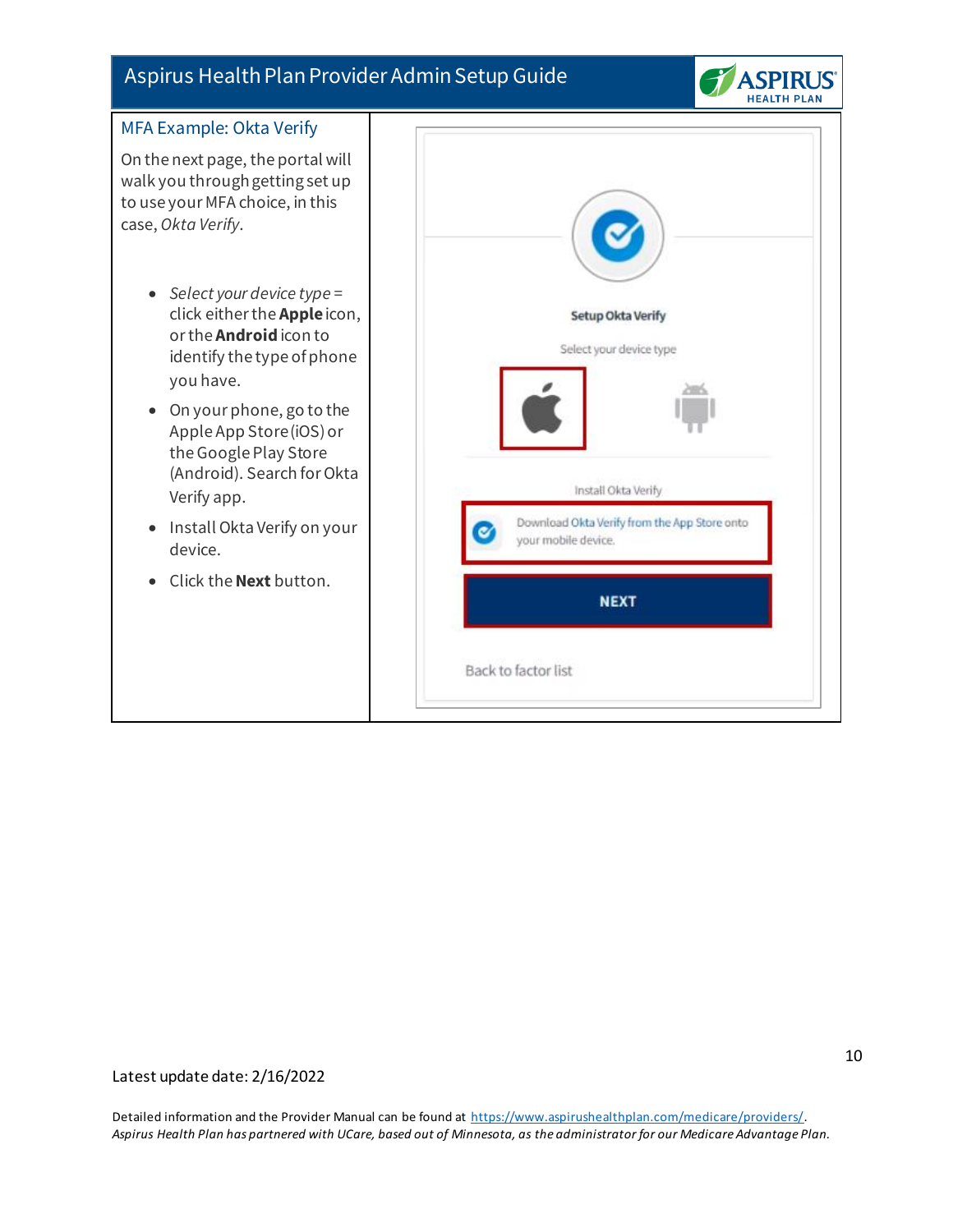

<span id="page-9-0"></span>